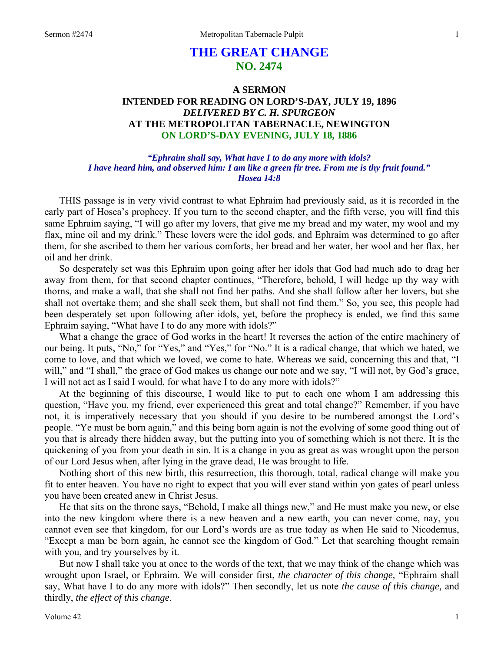# **THE GREAT CHANGE NO. 2474**

# **A SERMON INTENDED FOR READING ON LORD'S-DAY, JULY 19, 1896**  *DELIVERED BY C. H. SPURGEON*  **AT THE METROPOLITAN TABERNACLE, NEWINGTON ON LORD'S-DAY EVENING, JULY 18, 1886**

*"Ephraim shall say, What have I to do any more with idols? I have heard him, and observed him: I am like a green fir tree. From me is thy fruit found." Hosea 14:8* 

THIS passage is in very vivid contrast to what Ephraim had previously said, as it is recorded in the early part of Hosea's prophecy. If you turn to the second chapter, and the fifth verse, you will find this same Ephraim saying, "I will go after my lovers, that give me my bread and my water, my wool and my flax, mine oil and my drink." These lovers were the idol gods, and Ephraim was determined to go after them, for she ascribed to them her various comforts, her bread and her water, her wool and her flax, her oil and her drink.

So desperately set was this Ephraim upon going after her idols that God had much ado to drag her away from them, for that second chapter continues, "Therefore, behold, I will hedge up thy way with thorns, and make a wall, that she shall not find her paths. And she shall follow after her lovers, but she shall not overtake them; and she shall seek them, but shall not find them." So, you see, this people had been desperately set upon following after idols, yet, before the prophecy is ended, we find this same Ephraim saying, "What have I to do any more with idols?"

What a change the grace of God works in the heart! It reverses the action of the entire machinery of our being. It puts, "No," for "Yes," and "Yes," for "No." It is a radical change, that which we hated, we come to love, and that which we loved, we come to hate. Whereas we said, concerning this and that, "I will," and "I shall," the grace of God makes us change our note and we say, "I will not, by God's grace, I will not act as I said I would, for what have I to do any more with idols?"

At the beginning of this discourse, I would like to put to each one whom I am addressing this question, "Have you, my friend, ever experienced this great and total change?" Remember, if you have not, it is imperatively necessary that you should if you desire to be numbered amongst the Lord's people. "Ye must be born again," and this being born again is not the evolving of some good thing out of you that is already there hidden away, but the putting into you of something which is not there. It is the quickening of you from your death in sin. It is a change in you as great as was wrought upon the person of our Lord Jesus when, after lying in the grave dead, He was brought to life.

Nothing short of this new birth, this resurrection, this thorough, total, radical change will make you fit to enter heaven. You have no right to expect that you will ever stand within yon gates of pearl unless you have been created anew in Christ Jesus.

He that sits on the throne says, "Behold, I make all things new," and He must make you new, or else into the new kingdom where there is a new heaven and a new earth, you can never come, nay, you cannot even see that kingdom, for our Lord's words are as true today as when He said to Nicodemus, "Except a man be born again, he cannot see the kingdom of God." Let that searching thought remain with you, and try yourselves by it.

But now I shall take you at once to the words of the text, that we may think of the change which was wrought upon Israel, or Ephraim. We will consider first, *the character of this change,* "Ephraim shall say, What have I to do any more with idols?" Then secondly, let us note *the cause of this change,* and thirdly, *the effect of this change*.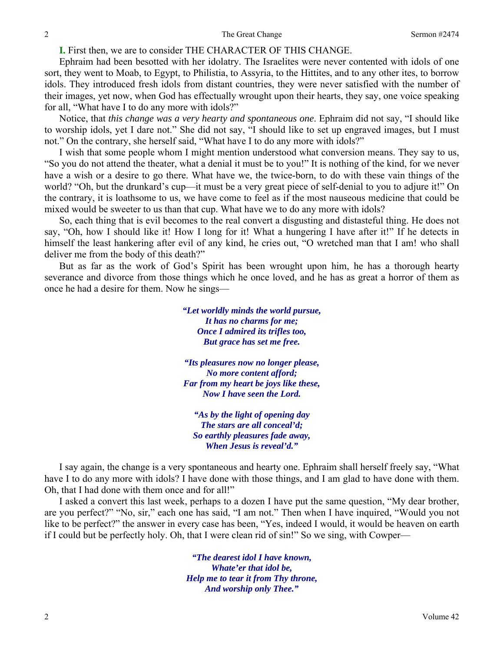**I.** First then, we are to consider THE CHARACTER OF THIS CHANGE.

Ephraim had been besotted with her idolatry. The Israelites were never contented with idols of one sort, they went to Moab, to Egypt, to Philistia, to Assyria, to the Hittites, and to any other ites, to borrow idols. They introduced fresh idols from distant countries, they were never satisfied with the number of their images, yet now, when God has effectually wrought upon their hearts, they say, one voice speaking for all, "What have I to do any more with idols?"

Notice, that *this change was a very hearty and spontaneous one*. Ephraim did not say, "I should like to worship idols, yet I dare not." She did not say, "I should like to set up engraved images, but I must not." On the contrary, she herself said, "What have I to do any more with idols?"

I wish that some people whom I might mention understood what conversion means. They say to us, "So you do not attend the theater, what a denial it must be to you!" It is nothing of the kind, for we never have a wish or a desire to go there. What have we, the twice-born, to do with these vain things of the world? "Oh, but the drunkard's cup—it must be a very great piece of self-denial to you to adjure it!" On the contrary, it is loathsome to us, we have come to feel as if the most nauseous medicine that could be mixed would be sweeter to us than that cup. What have we to do any more with idols?

So, each thing that is evil becomes to the real convert a disgusting and distasteful thing. He does not say, "Oh, how I should like it! How I long for it! What a hungering I have after it!" If he detects in himself the least hankering after evil of any kind, he cries out, "O wretched man that I am! who shall deliver me from the body of this death?"

But as far as the work of God's Spirit has been wrought upon him, he has a thorough hearty severance and divorce from those things which he once loved, and he has as great a horror of them as once he had a desire for them. Now he sings—

> *"Let worldly minds the world pursue, It has no charms for me; Once I admired its trifles too, But grace has set me free.*

> *"Its pleasures now no longer please, No more content afford; Far from my heart be joys like these, Now I have seen the Lord.*

*"As by the light of opening day The stars are all conceal'd; So earthly pleasures fade away, When Jesus is reveal'd."* 

I say again, the change is a very spontaneous and hearty one. Ephraim shall herself freely say, "What have I to do any more with idols? I have done with those things, and I am glad to have done with them. Oh, that I had done with them once and for all!"

I asked a convert this last week, perhaps to a dozen I have put the same question, "My dear brother, are you perfect?" "No, sir," each one has said, "I am not." Then when I have inquired, "Would you not like to be perfect?" the answer in every case has been, "Yes, indeed I would, it would be heaven on earth if I could but be perfectly holy. Oh, that I were clean rid of sin!" So we sing, with Cowper—

> *"The dearest idol I have known, Whate'er that idol be, Help me to tear it from Thy throne, And worship only Thee."*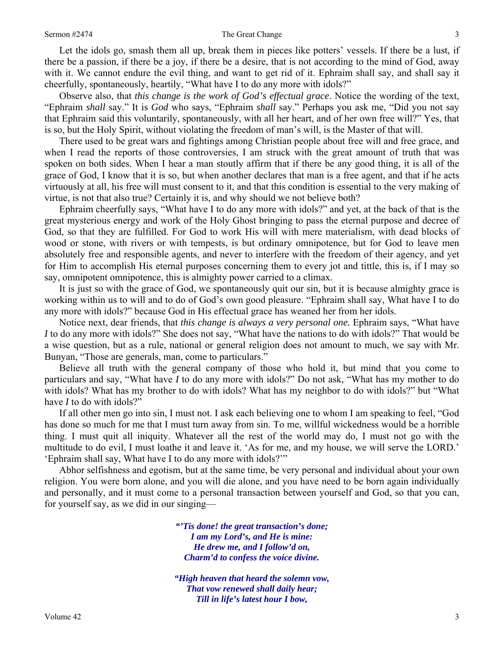#### Sermon #2474 **The Great Change** 3

Let the idols go, smash them all up, break them in pieces like potters' vessels. If there be a lust, if there be a passion, if there be a joy, if there be a desire, that is not according to the mind of God, away with it. We cannot endure the evil thing, and want to get rid of it. Ephraim shall say, and shall say it cheerfully, spontaneously, heartily, "What have I to do any more with idols?"

Observe also, that *this change is the work of God's effectual grace*. Notice the wording of the text, "Ephraim *shall* say." It is *God* who says, "Ephraim *shall* say." Perhaps you ask me, "Did you not say that Ephraim said this voluntarily, spontaneously, with all her heart, and of her own free will?" Yes, that is so, but the Holy Spirit, without violating the freedom of man's will, is the Master of that will.

There used to be great wars and fightings among Christian people about free will and free grace, and when I read the reports of those controversies, I am struck with the great amount of truth that was spoken on both sides. When I hear a man stoutly affirm that if there be any good thing, it is all of the grace of God, I know that it is so, but when another declares that man is a free agent, and that if he acts virtuously at all, his free will must consent to it, and that this condition is essential to the very making of virtue, is not that also true? Certainly it is, and why should we not believe both?

Ephraim cheerfully says, "What have I to do any more with idols?" and yet, at the back of that is the great mysterious energy and work of the Holy Ghost bringing to pass the eternal purpose and decree of God, so that they are fulfilled. For God to work His will with mere materialism, with dead blocks of wood or stone, with rivers or with tempests, is but ordinary omnipotence, but for God to leave men absolutely free and responsible agents, and never to interfere with the freedom of their agency, and yet for Him to accomplish His eternal purposes concerning them to every jot and tittle, this is, if I may so say, omnipotent omnipotence, this is almighty power carried to a climax.

It is just so with the grace of God, we spontaneously quit our sin, but it is because almighty grace is working within us to will and to do of God's own good pleasure. "Ephraim shall say, What have I to do any more with idols?" because God in His effectual grace has weaned her from her idols.

Notice next, dear friends, that *this change is always a very personal one.* Ephraim says, "What have *I* to do any more with idols?" She does not say, "What have the nations to do with idols?" That would be a wise question, but as a rule, national or general religion does not amount to much, we say with Mr. Bunyan, "Those are generals, man, come to particulars."

Believe all truth with the general company of those who hold it, but mind that you come to particulars and say, "What have *I* to do any more with idols?" Do not ask, "What has my mother to do with idols? What has my brother to do with idols? What has my neighbor to do with idols?" but "What have *I* to do with idols?"

If all other men go into sin, I must not. I ask each believing one to whom I am speaking to feel, "God has done so much for me that I must turn away from sin. To me, willful wickedness would be a horrible thing. I must quit all iniquity. Whatever all the rest of the world may do, I must not go with the multitude to do evil, I must loathe it and leave it. 'As for me, and my house, we will serve the LORD.' 'Ephraim shall say, What have I to do any more with idols?'"

Abhor selfishness and egotism, but at the same time, be very personal and individual about your own religion. You were born alone, and you will die alone, and you have need to be born again individually and personally, and it must come to a personal transaction between yourself and God, so that you can, for yourself say, as we did in our singing—

> *"'Tis done! the great transaction's done; I am my Lord's, and He is mine: He drew me, and I follow'd on, Charm'd to confess the voice divine.*

> *"High heaven that heard the solemn vow, That vow renewed shall daily hear; Till in life's latest hour I bow,*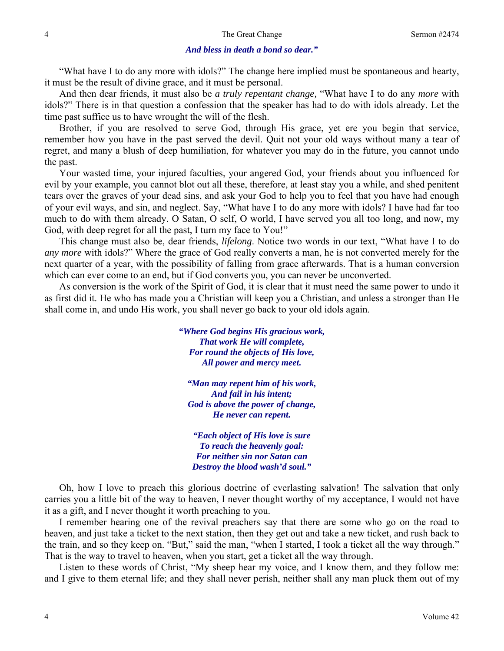### *And bless in death a bond so dear."*

"What have I to do any more with idols?" The change here implied must be spontaneous and hearty, it must be the result of divine grace, and it must be personal.

And then dear friends, it must also be *a truly repentant change,* "What have I to do any *more* with idols?" There is in that question a confession that the speaker has had to do with idols already. Let the time past suffice us to have wrought the will of the flesh.

Brother, if you are resolved to serve God, through His grace, yet ere you begin that service, remember how you have in the past served the devil. Quit not your old ways without many a tear of regret, and many a blush of deep humiliation, for whatever you may do in the future, you cannot undo the past.

Your wasted time, your injured faculties, your angered God, your friends about you influenced for evil by your example, you cannot blot out all these, therefore, at least stay you a while, and shed penitent tears over the graves of your dead sins, and ask your God to help you to feel that you have had enough of your evil ways, and sin, and neglect. Say, "What have I to do any more with idols? I have had far too much to do with them already. O Satan, O self, O world, I have served you all too long, and now, my God, with deep regret for all the past, I turn my face to You!"

This change must also be, dear friends, *lifelong*. Notice two words in our text, "What have I to do *any more* with idols?" Where the grace of God really converts a man, he is not converted merely for the next quarter of a year, with the possibility of falling from grace afterwards. That is a human conversion which can ever come to an end, but if God converts you, you can never be unconverted.

As conversion is the work of the Spirit of God, it is clear that it must need the same power to undo it as first did it. He who has made you a Christian will keep you a Christian, and unless a stronger than He shall come in, and undo His work, you shall never go back to your old idols again.

> *"Where God begins His gracious work, That work He will complete, For round the objects of His love, All power and mercy meet.*

*"Man may repent him of his work, And fail in his intent; God is above the power of change, He never can repent.* 

*"Each object of His love is sure To reach the heavenly goal: For neither sin nor Satan can Destroy the blood wash'd soul."* 

Oh, how I love to preach this glorious doctrine of everlasting salvation! The salvation that only carries you a little bit of the way to heaven, I never thought worthy of my acceptance, I would not have it as a gift, and I never thought it worth preaching to you.

I remember hearing one of the revival preachers say that there are some who go on the road to heaven, and just take a ticket to the next station, then they get out and take a new ticket, and rush back to the train, and so they keep on. "But," said the man, "when I started, I took a ticket all the way through." That is the way to travel to heaven, when you start, get a ticket all the way through.

Listen to these words of Christ, "My sheep hear my voice, and I know them, and they follow me: and I give to them eternal life; and they shall never perish, neither shall any man pluck them out of my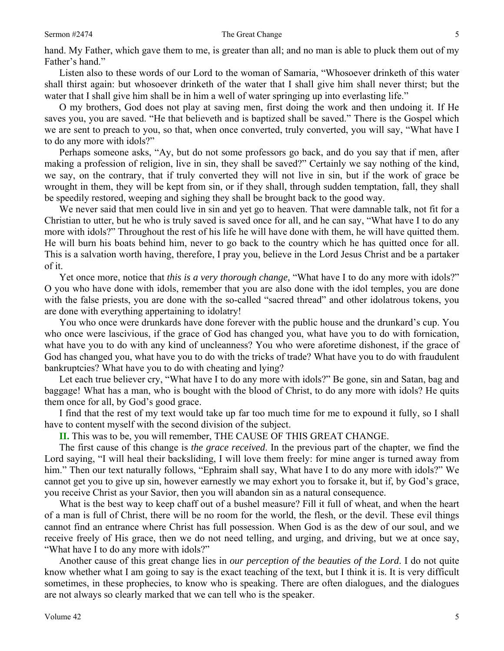hand. My Father, which gave them to me, is greater than all; and no man is able to pluck them out of my Father's hand."

Listen also to these words of our Lord to the woman of Samaria, "Whosoever drinketh of this water shall thirst again: but whosoever drinketh of the water that I shall give him shall never thirst; but the water that I shall give him shall be in him a well of water springing up into everlasting life."

O my brothers, God does not play at saving men, first doing the work and then undoing it. If He saves you, you are saved. "He that believeth and is baptized shall be saved." There is the Gospel which we are sent to preach to you, so that, when once converted, truly converted, you will say, "What have I to do any more with idols?"

Perhaps someone asks, "Ay, but do not some professors go back, and do you say that if men, after making a profession of religion, live in sin, they shall be saved?" Certainly we say nothing of the kind, we say, on the contrary, that if truly converted they will not live in sin, but if the work of grace be wrought in them, they will be kept from sin, or if they shall, through sudden temptation, fall, they shall be speedily restored, weeping and sighing they shall be brought back to the good way.

We never said that men could live in sin and yet go to heaven. That were damnable talk, not fit for a Christian to utter, but he who is truly saved is saved once for all, and he can say, "What have I to do any more with idols?" Throughout the rest of his life he will have done with them, he will have quitted them. He will burn his boats behind him, never to go back to the country which he has quitted once for all. This is a salvation worth having, therefore, I pray you, believe in the Lord Jesus Christ and be a partaker of it.

Yet once more, notice that *this is a very thorough change,* "What have I to do any more with idols?" O you who have done with idols, remember that you are also done with the idol temples, you are done with the false priests, you are done with the so-called "sacred thread" and other idolatrous tokens, you are done with everything appertaining to idolatry!

You who once were drunkards have done forever with the public house and the drunkard's cup. You who once were lascivious, if the grace of God has changed you, what have you to do with fornication, what have you to do with any kind of uncleanness? You who were aforetime dishonest, if the grace of God has changed you, what have you to do with the tricks of trade? What have you to do with fraudulent bankruptcies? What have you to do with cheating and lying?

Let each true believer cry, "What have I to do any more with idols?" Be gone, sin and Satan, bag and baggage! What has a man, who is bought with the blood of Christ, to do any more with idols? He quits them once for all, by God's good grace.

I find that the rest of my text would take up far too much time for me to expound it fully, so I shall have to content myself with the second division of the subject.

**II.** This was to be, you will remember, THE CAUSE OF THIS GREAT CHANGE.

The first cause of this change is *the grace received*. In the previous part of the chapter, we find the Lord saying, "I will heal their backsliding, I will love them freely: for mine anger is turned away from him." Then our text naturally follows, "Ephraim shall say, What have I to do any more with idols?" We cannot get you to give up sin, however earnestly we may exhort you to forsake it, but if, by God's grace, you receive Christ as your Savior, then you will abandon sin as a natural consequence.

What is the best way to keep chaff out of a bushel measure? Fill it full of wheat, and when the heart of a man is full of Christ, there will be no room for the world, the flesh, or the devil. These evil things cannot find an entrance where Christ has full possession. When God is as the dew of our soul, and we receive freely of His grace, then we do not need telling, and urging, and driving, but we at once say, "What have I to do any more with idols?"

Another cause of this great change lies in *our perception of the beauties of the Lord*. I do not quite know whether what I am going to say is the exact teaching of the text, but I think it is. It is very difficult sometimes, in these prophecies, to know who is speaking. There are often dialogues, and the dialogues are not always so clearly marked that we can tell who is the speaker.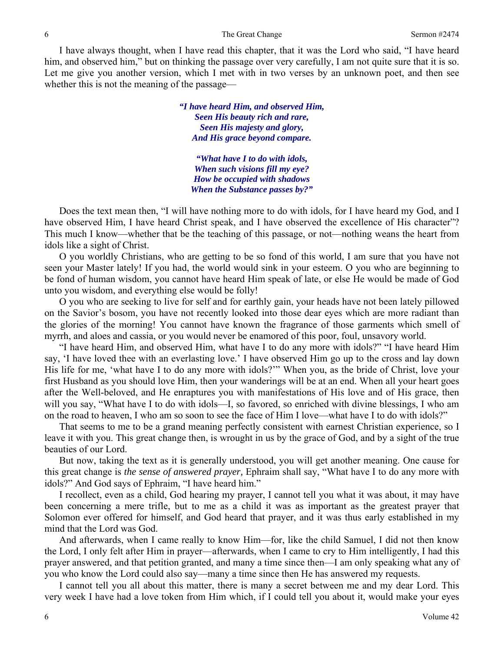#### 6 The Great Change Sermon #2474

I have always thought, when I have read this chapter, that it was the Lord who said, "I have heard him, and observed him," but on thinking the passage over very carefully, I am not quite sure that it is so. Let me give you another version, which I met with in two verses by an unknown poet, and then see whether this is not the meaning of the passage—

> *"I have heard Him, and observed Him, Seen His beauty rich and rare, Seen His majesty and glory, And His grace beyond compare.*

*"What have I to do with idols, When such visions fill my eye? How be occupied with shadows When the Substance passes by?"* 

Does the text mean then, "I will have nothing more to do with idols, for I have heard my God, and I have observed Him, I have heard Christ speak, and I have observed the excellence of His character"? This much I know—whether that be the teaching of this passage, or not—nothing weans the heart from idols like a sight of Christ.

O you worldly Christians, who are getting to be so fond of this world, I am sure that you have not seen your Master lately! If you had, the world would sink in your esteem. O you who are beginning to be fond of human wisdom, you cannot have heard Him speak of late, or else He would be made of God unto you wisdom, and everything else would be folly!

O you who are seeking to live for self and for earthly gain, your heads have not been lately pillowed on the Savior's bosom, you have not recently looked into those dear eyes which are more radiant than the glories of the morning! You cannot have known the fragrance of those garments which smell of myrrh, and aloes and cassia, or you would never be enamored of this poor, foul, unsavory world.

"I have heard Him, and observed Him, what have I to do any more with idols?" "I have heard Him say, 'I have loved thee with an everlasting love.' I have observed Him go up to the cross and lay down His life for me, 'what have I to do any more with idols?'" When you, as the bride of Christ, love your first Husband as you should love Him, then your wanderings will be at an end. When all your heart goes after the Well-beloved, and He enraptures you with manifestations of His love and of His grace, then will you say, "What have I to do with idols—I, so favored, so enriched with divine blessings, I who am on the road to heaven, I who am so soon to see the face of Him I love—what have I to do with idols?"

That seems to me to be a grand meaning perfectly consistent with earnest Christian experience, so I leave it with you. This great change then, is wrought in us by the grace of God, and by a sight of the true beauties of our Lord.

But now, taking the text as it is generally understood, you will get another meaning. One cause for this great change is *the sense of answered prayer,* Ephraim shall say, "What have I to do any more with idols?" And God says of Ephraim, "I have heard him."

I recollect, even as a child, God hearing my prayer, I cannot tell you what it was about, it may have been concerning a mere trifle, but to me as a child it was as important as the greatest prayer that Solomon ever offered for himself, and God heard that prayer, and it was thus early established in my mind that the Lord was God.

And afterwards, when I came really to know Him—for, like the child Samuel, I did not then know the Lord, I only felt after Him in prayer—afterwards, when I came to cry to Him intelligently, I had this prayer answered, and that petition granted, and many a time since then—I am only speaking what any of you who know the Lord could also say—many a time since then He has answered my requests.

I cannot tell you all about this matter, there is many a secret between me and my dear Lord. This very week I have had a love token from Him which, if I could tell you about it, would make your eyes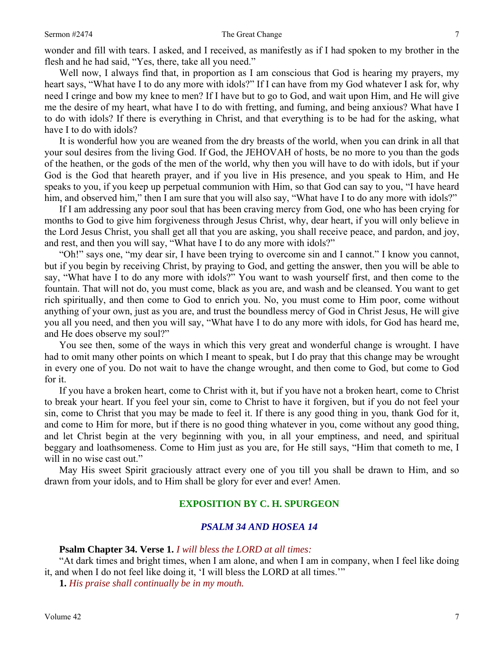wonder and fill with tears. I asked, and I received, as manifestly as if I had spoken to my brother in the flesh and he had said, "Yes, there, take all you need."

Well now, I always find that, in proportion as I am conscious that God is hearing my prayers, my heart says, "What have I to do any more with idols?" If I can have from my God whatever I ask for, why need I cringe and bow my knee to men? If I have but to go to God, and wait upon Him, and He will give me the desire of my heart, what have I to do with fretting, and fuming, and being anxious? What have I to do with idols? If there is everything in Christ, and that everything is to be had for the asking, what have I to do with idols?

It is wonderful how you are weaned from the dry breasts of the world, when you can drink in all that your soul desires from the living God. If God, the JEHOVAH of hosts, be no more to you than the gods of the heathen, or the gods of the men of the world, why then you will have to do with idols, but if your God is the God that heareth prayer, and if you live in His presence, and you speak to Him, and He speaks to you, if you keep up perpetual communion with Him, so that God can say to you, "I have heard him, and observed him," then I am sure that you will also say, "What have I to do any more with idols?"

If I am addressing any poor soul that has been craving mercy from God, one who has been crying for months to God to give him forgiveness through Jesus Christ, why, dear heart, if you will only believe in the Lord Jesus Christ, you shall get all that you are asking, you shall receive peace, and pardon, and joy, and rest, and then you will say, "What have I to do any more with idols?"

"Oh!" says one, "my dear sir, I have been trying to overcome sin and I cannot." I know you cannot, but if you begin by receiving Christ, by praying to God, and getting the answer, then you will be able to say, "What have I to do any more with idols?" You want to wash yourself first, and then come to the fountain. That will not do, you must come, black as you are, and wash and be cleansed. You want to get rich spiritually, and then come to God to enrich you. No, you must come to Him poor, come without anything of your own, just as you are, and trust the boundless mercy of God in Christ Jesus, He will give you all you need, and then you will say, "What have I to do any more with idols, for God has heard me, and He does observe my soul?"

You see then, some of the ways in which this very great and wonderful change is wrought. I have had to omit many other points on which I meant to speak, but I do pray that this change may be wrought in every one of you. Do not wait to have the change wrought, and then come to God, but come to God for it.

If you have a broken heart, come to Christ with it, but if you have not a broken heart, come to Christ to break your heart. If you feel your sin, come to Christ to have it forgiven, but if you do not feel your sin, come to Christ that you may be made to feel it. If there is any good thing in you, thank God for it, and come to Him for more, but if there is no good thing whatever in you, come without any good thing, and let Christ begin at the very beginning with you, in all your emptiness, and need, and spiritual beggary and loathsomeness. Come to Him just as you are, for He still says, "Him that cometh to me, I will in no wise cast out."

May His sweet Spirit graciously attract every one of you till you shall be drawn to Him, and so drawn from your idols, and to Him shall be glory for ever and ever! Amen.

## **EXPOSITION BY C. H. SPURGEON**

## *PSALM 34 AND HOSEA 14*

### **Psalm Chapter 34. Verse 1.** *I will bless the LORD at all times:*

"At dark times and bright times, when I am alone, and when I am in company, when I feel like doing it, and when I do not feel like doing it, 'I will bless the LORD at all times.'"

**1.** *His praise shall continually be in my mouth.*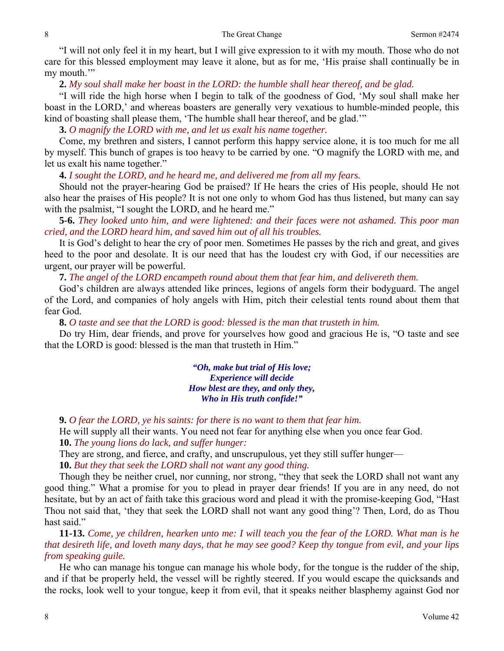"I will not only feel it in my heart, but I will give expression to it with my mouth. Those who do not care for this blessed employment may leave it alone, but as for me, 'His praise shall continually be in my mouth."

**2.** *My soul shall make her boast in the LORD: the humble shall hear thereof, and be glad.* 

"I will ride the high horse when I begin to talk of the goodness of God, 'My soul shall make her boast in the LORD,' and whereas boasters are generally very vexatious to humble-minded people, this kind of boasting shall please them, 'The humble shall hear thereof, and be glad.'"

**3.** *O magnify the LORD with me, and let us exalt his name together.* 

Come, my brethren and sisters, I cannot perform this happy service alone, it is too much for me all by myself. This bunch of grapes is too heavy to be carried by one. "O magnify the LORD with me, and let us exalt his name together."

**4.** *I sought the LORD, and he heard me, and delivered me from all my fears.* 

Should not the prayer-hearing God be praised? If He hears the cries of His people, should He not also hear the praises of His people? It is not one only to whom God has thus listened, but many can say with the psalmist, "I sought the LORD, and he heard me."

**5-6.** *They looked unto him, and were lightened: and their faces were not ashamed. This poor man cried, and the LORD heard him, and saved him out of all his troubles.* 

It is God's delight to hear the cry of poor men. Sometimes He passes by the rich and great, and gives heed to the poor and desolate. It is our need that has the loudest cry with God, if our necessities are urgent, our prayer will be powerful.

**7.** *The angel of the LORD encampeth round about them that fear him, and delivereth them.* 

God's children are always attended like princes, legions of angels form their bodyguard. The angel of the Lord, and companies of holy angels with Him, pitch their celestial tents round about them that fear God.

**8.** *O taste and see that the LORD is good: blessed is the man that trusteth in him.* 

Do try Him, dear friends, and prove for yourselves how good and gracious He is, "O taste and see that the LORD is good: blessed is the man that trusteth in Him."

> *"Oh, make but trial of His love; Experience will decide How blest are they, and only they, Who in His truth confide!"*

**9.** *O fear the LORD, ye his saints: for there is no want to them that fear him.* 

He will supply all their wants. You need not fear for anything else when you once fear God. **10.** *The young lions do lack, and suffer hunger:* 

They are strong, and fierce, and crafty, and unscrupulous, yet they still suffer hunger—

**10.** *But they that seek the LORD shall not want any good thing.* 

Though they be neither cruel, nor cunning, nor strong, "they that seek the LORD shall not want any good thing." What a promise for you to plead in prayer dear friends! If you are in any need, do not hesitate, but by an act of faith take this gracious word and plead it with the promise-keeping God, "Hast Thou not said that, 'they that seek the LORD shall not want any good thing'? Then, Lord, do as Thou hast said."

**11-13.** *Come, ye children, hearken unto me: I will teach you the fear of the LORD. What man is he that desireth life, and loveth many days, that he may see good? Keep thy tongue from evil, and your lips from speaking guile.* 

He who can manage his tongue can manage his whole body, for the tongue is the rudder of the ship, and if that be properly held, the vessel will be rightly steered. If you would escape the quicksands and the rocks, look well to your tongue, keep it from evil, that it speaks neither blasphemy against God nor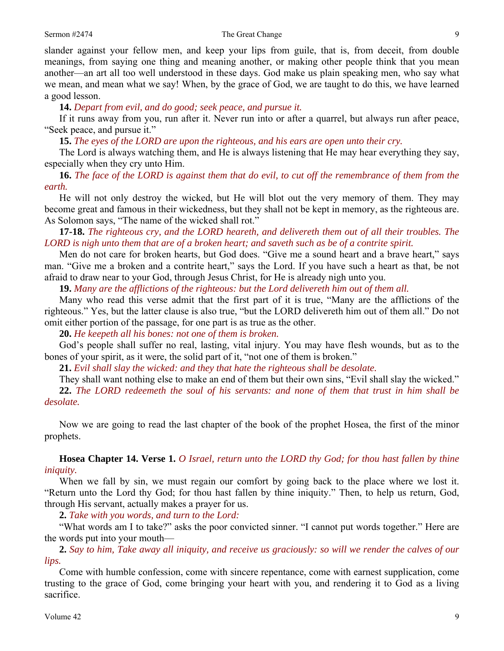slander against your fellow men, and keep your lips from guile, that is, from deceit, from double meanings, from saying one thing and meaning another, or making other people think that you mean another—an art all too well understood in these days. God make us plain speaking men, who say what we mean, and mean what we say! When, by the grace of God, we are taught to do this, we have learned a good lesson.

**14.** *Depart from evil, and do good; seek peace, and pursue it.* 

If it runs away from you, run after it. Never run into or after a quarrel, but always run after peace, "Seek peace, and pursue it."

**15.** *The eyes of the LORD are upon the righteous, and his ears are open unto their cry.* 

The Lord is always watching them, and He is always listening that He may hear everything they say, especially when they cry unto Him.

**16.** *The face of the LORD is against them that do evil, to cut off the remembrance of them from the earth.* 

He will not only destroy the wicked, but He will blot out the very memory of them. They may become great and famous in their wickedness, but they shall not be kept in memory, as the righteous are. As Solomon says, "The name of the wicked shall rot."

**17-18.** *The righteous cry, and the LORD heareth, and delivereth them out of all their troubles. The LORD is nigh unto them that are of a broken heart; and saveth such as be of a contrite spirit.* 

Men do not care for broken hearts, but God does. "Give me a sound heart and a brave heart," says man. "Give me a broken and a contrite heart," says the Lord. If you have such a heart as that, be not afraid to draw near to your God, through Jesus Christ, for He is already nigh unto you.

**19.** *Many are the afflictions of the righteous: but the Lord delivereth him out of them all.* 

Many who read this verse admit that the first part of it is true, "Many are the afflictions of the righteous." Yes, but the latter clause is also true, "but the LORD delivereth him out of them all." Do not omit either portion of the passage, for one part is as true as the other.

**20.** *He keepeth all his bones: not one of them is broken.* 

God's people shall suffer no real, lasting, vital injury. You may have flesh wounds, but as to the bones of your spirit, as it were, the solid part of it, "not one of them is broken."

**21.** *Evil shall slay the wicked: and they that hate the righteous shall be desolate.* 

They shall want nothing else to make an end of them but their own sins, "Evil shall slay the wicked." **22.** *The LORD redeemeth the soul of his servants: and none of them that trust in him shall be desolate.* 

Now we are going to read the last chapter of the book of the prophet Hosea, the first of the minor prophets.

**Hosea Chapter 14. Verse 1.** *O Israel, return unto the LORD thy God; for thou hast fallen by thine iniquity.* 

When we fall by sin, we must regain our comfort by going back to the place where we lost it. "Return unto the Lord thy God; for thou hast fallen by thine iniquity." Then, to help us return, God, through His servant, actually makes a prayer for us.

**2.** *Take with you words, and turn to the Lord:* 

"What words am I to take?" asks the poor convicted sinner. "I cannot put words together." Here are the words put into your mouth—

**2.** *Say to him, Take away all iniquity, and receive us graciously: so will we render the calves of our lips.* 

Come with humble confession, come with sincere repentance, come with earnest supplication, come trusting to the grace of God, come bringing your heart with you, and rendering it to God as a living sacrifice.